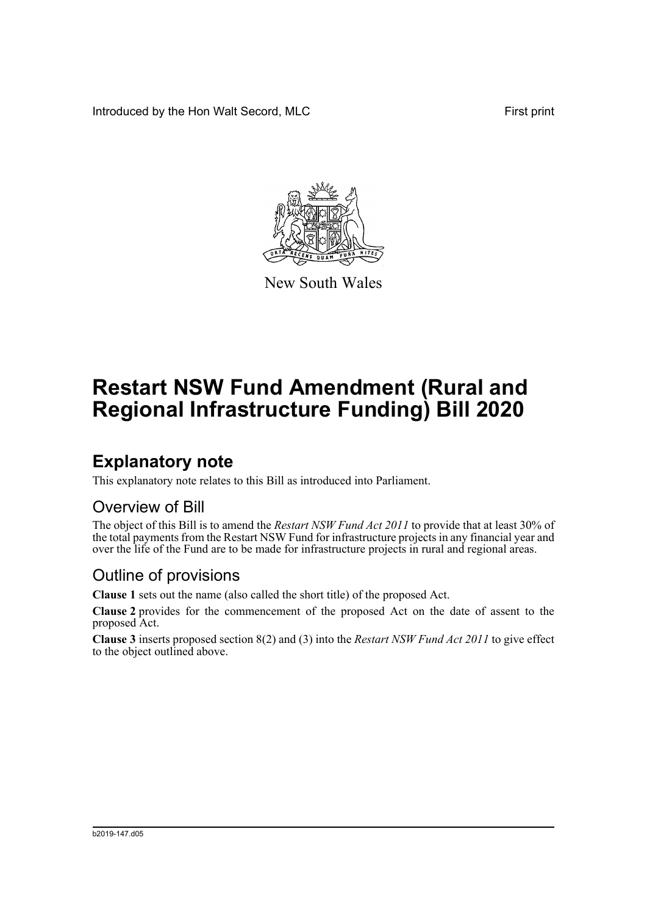Introduced by the Hon Walt Secord, MLC First print



New South Wales

# **Restart NSW Fund Amendment (Rural and Regional Infrastructure Funding) Bill 2020**

## **Explanatory note**

This explanatory note relates to this Bill as introduced into Parliament.

#### Overview of Bill

The object of this Bill is to amend the *Restart NSW Fund Act 2011* to provide that at least 30% of the total payments from the Restart NSW Fund for infrastructure projects in any financial year and over the life of the Fund are to be made for infrastructure projects in rural and regional areas.

#### Outline of provisions

**Clause 1** sets out the name (also called the short title) of the proposed Act.

**Clause 2** provides for the commencement of the proposed Act on the date of assent to the proposed Act.

**Clause 3** inserts proposed section 8(2) and (3) into the *Restart NSW Fund Act 2011* to give effect to the object outlined above.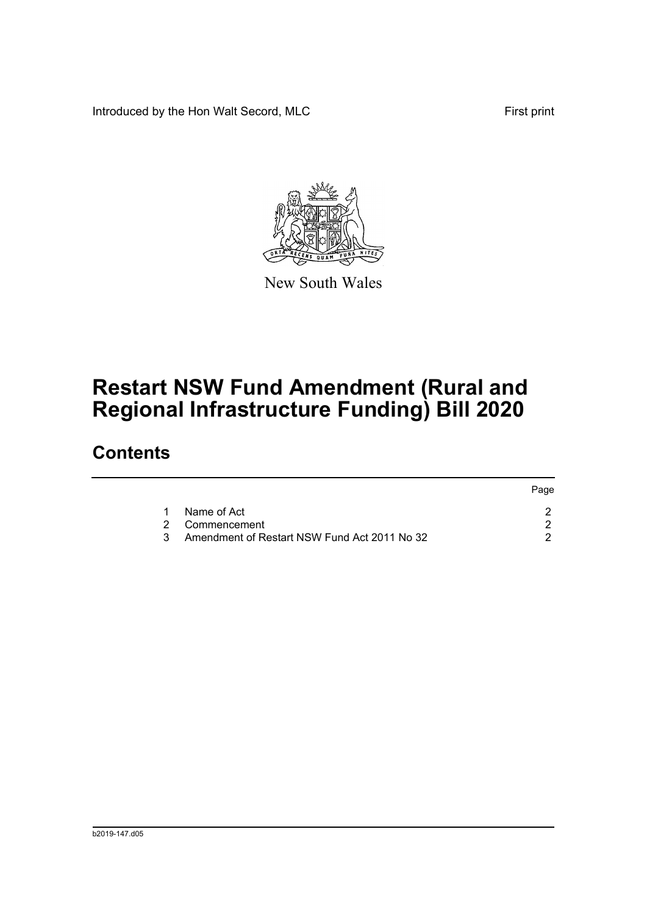Introduced by the Hon Walt Secord, MLC First print

Page



New South Wales

## **Restart NSW Fund Amendment (Rural and Regional Infrastructure Funding) Bill 2020**

### **Contents**

|   |                                              | rage. |
|---|----------------------------------------------|-------|
|   | Name of Act                                  |       |
|   | 2 Commencement                               |       |
| 3 | Amendment of Restart NSW Fund Act 2011 No 32 |       |
|   |                                              |       |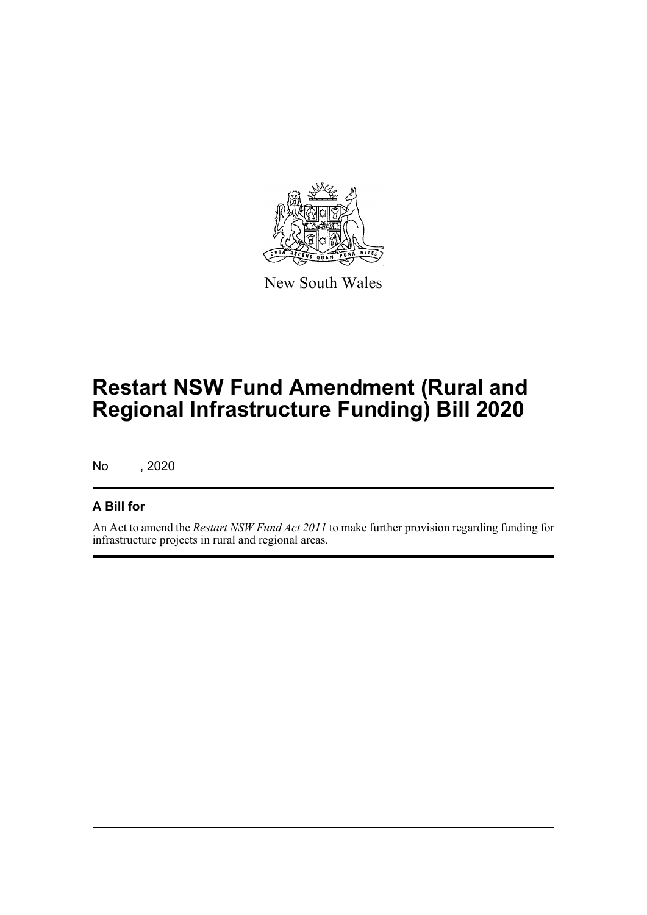

New South Wales

## **Restart NSW Fund Amendment (Rural and Regional Infrastructure Funding) Bill 2020**

No , 2020

#### **A Bill for**

An Act to amend the *Restart NSW Fund Act 2011* to make further provision regarding funding for infrastructure projects in rural and regional areas.